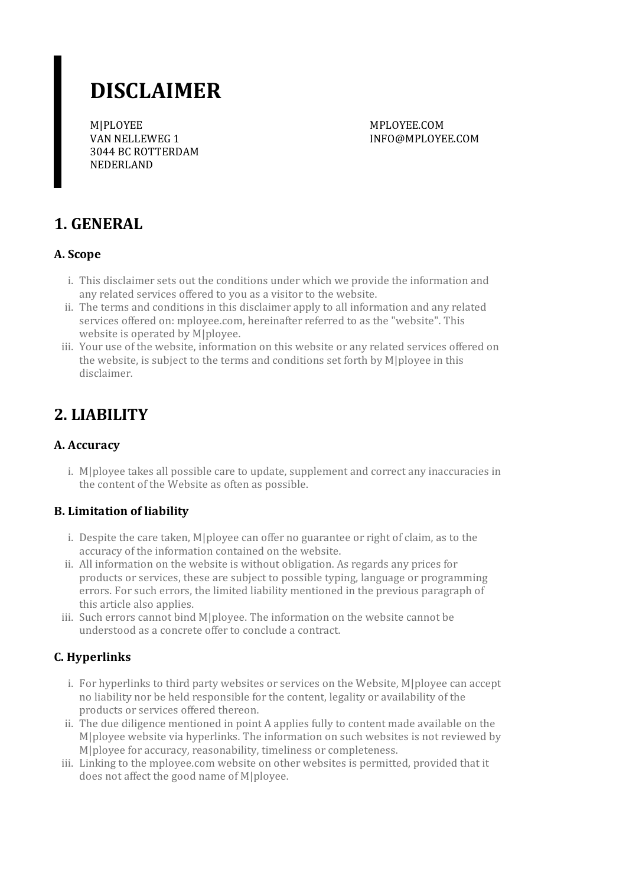# **DISCLAIMER**

M|PLOYEE VAN NELLEWEG 1 3044 BC ROTTERDAM NEDERLAND

MPLOYEE.COM INFO@MPLOYEE.COM

# **1. GENERAL**

#### **A. Scope**

- i. This disclaimer sets out the conditions under which we provide the information and any related services offered to you as a visitor to the website.
- ii. The terms and conditions in this disclaimer apply to all information and any related services offered on: mployee.com, hereinafter referred to as the "website". This website is operated by M|ployee.
- iii. Your use of the website, information on this website or any related services offered on the website, is subject to the terms and conditions set forth by M|ployee in this disclaimer.

# **2. LIABILITY**

### **A. Accuracy**

i. M|ployee takes all possible care to update, supplement and correct any inaccuracies in the content of the Website as often as possible.

#### **B. Limitation of liability**

- i. Despite the care taken, M|ployee can offer no guarantee or right of claim, as to the accuracy of the information contained on the website.
- ii. All information on the website is without obligation. As regards any prices for products or services, these are subject to possible typing, language or programming errors. Forsuch errors, the limited liability mentioned in the previous paragraph of this article also applies.
- iii. Such errors cannot bind M|ployee. The information on the website cannot be understood as a concrete offerto conclude a contract.

### **C. Hyperlinks**

- i. For hyperlinks to third party websites or services on the Website, M|ployee can accept no liability nor be held responsible forthe content, legality or availability of the products or services offered thereon.
- ii. The due diligence mentioned in point A applies fully to content made available on the M|ployee website via hyperlinks. The information on such websites is not reviewed by M|ployee for accuracy, reasonability, timeliness or completeness.
- iii. Linking to the mployee.com website on other websites is permitted, provided that it does not affect the good name of M|ployee.